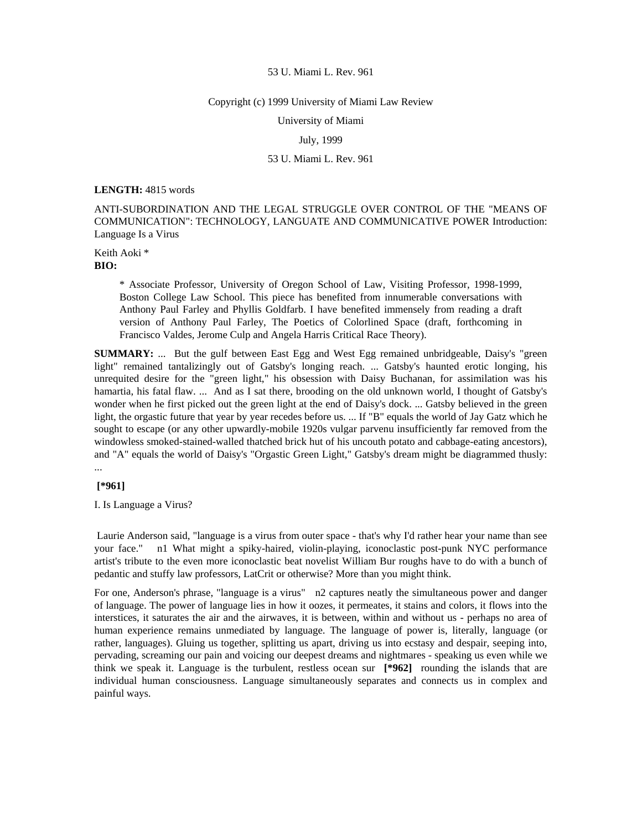# Copyright (c) 1999 University of Miami Law Review

University of Miami

# July, 1999

# 53 U. Miami L. Rev. 961

# **LENGTH:** 4815 words

ANTI-SUBORDINATION AND THE LEGAL STRUGGLE OVER CONTROL OF THE "MEANS OF COMMUNICATION": TECHNOLOGY, LANGUATE AND COMMUNICATIVE POWER Introduction: Language Is a Virus

Keith Aoki \* **BIO:** 

> \* Associate Professor, University of Oregon School of Law, Visiting Professor, 1998-1999, Boston College Law School. This piece has benefited from innumerable conversations with Anthony Paul Farley and Phyllis Goldfarb. I have benefited immensely from reading a draft version of Anthony Paul Farley, The Poetics of Colorlined Space (draft, forthcoming in Francisco Valdes, Jerome Culp and Angela Harris Critical Race Theory).

**SUMMARY:** ... But the gulf between East Egg and West Egg remained unbridgeable, Daisy's "green" light" remained tantalizingly out of Gatsby's longing reach. ... Gatsby's haunted erotic longing, his unrequited desire for the "green light," his obsession with Daisy Buchanan, for assimilation was his hamartia, his fatal flaw. ... And as I sat there, brooding on the old unknown world, I thought of Gatsby's wonder when he first picked out the green light at the end of Daisy's dock. ... Gatsby believed in the green light, the orgastic future that year by year recedes before us. ... If "B" equals the world of Jay Gatz which he sought to escape (or any other upwardly-mobile 1920s vulgar parvenu insufficiently far removed from the windowless smoked-stained-walled thatched brick hut of his uncouth potato and cabbage-eating ancestors), and "A" equals the world of Daisy's "Orgastic Green Light," Gatsby's dream might be diagrammed thusly: ...

#### **[\*961]**

I. Is Language a Virus?

 Laurie Anderson said, "language is a virus from outer space - that's why I'd rather hear your name than see your face." n1 What might a spiky-haired, violin-playing, iconoclastic post-punk NYC performance artist's tribute to the even more iconoclastic beat novelist William Bur roughs have to do with a bunch of pedantic and stuffy law professors, LatCrit or otherwise? More than you might think.

For one, Anderson's phrase, "language is a virus" n2 captures neatly the simultaneous power and danger of language. The power of language lies in how it oozes, it permeates, it stains and colors, it flows into the interstices, it saturates the air and the airwaves, it is between, within and without us - perhaps no area of human experience remains unmediated by language. The language of power is, literally, language (or rather, languages). Gluing us together, splitting us apart, driving us into ecstasy and despair, seeping into, pervading, screaming our pain and voicing our deepest dreams and nightmares - speaking us even while we think we speak it. Language is the turbulent, restless ocean sur **[\*962]** rounding the islands that are individual human consciousness. Language simultaneously separates and connects us in complex and painful ways.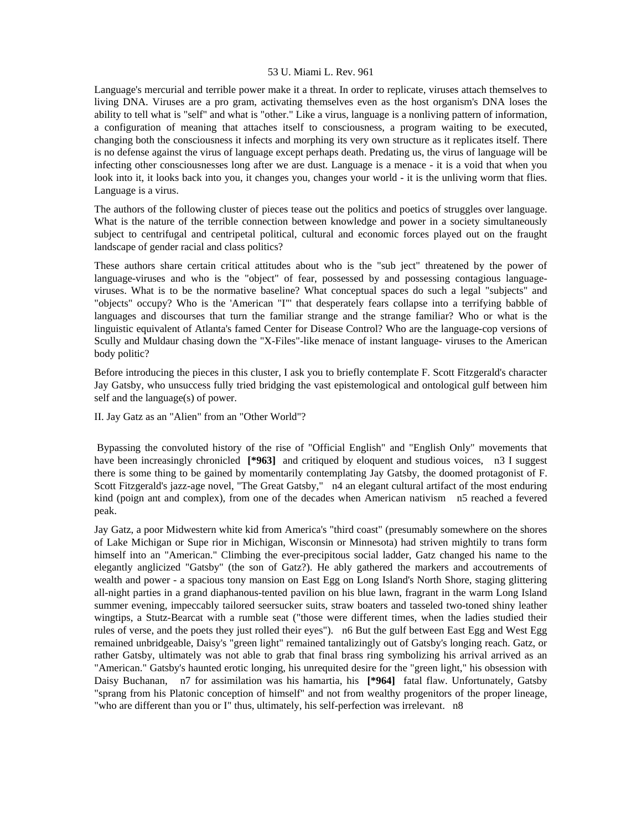Language's mercurial and terrible power make it a threat. In order to replicate, viruses attach themselves to living DNA. Viruses are a pro gram, activating themselves even as the host organism's DNA loses the ability to tell what is "self" and what is "other." Like a virus, language is a nonliving pattern of information, a configuration of meaning that attaches itself to consciousness, a program waiting to be executed, changing both the consciousness it infects and morphing its very own structure as it replicates itself. There is no defense against the virus of language except perhaps death. Predating us, the virus of language will be infecting other consciousnesses long after we are dust. Language is a menace - it is a void that when you look into it, it looks back into you, it changes you, changes your world - it is the unliving worm that flies. Language is a virus.

The authors of the following cluster of pieces tease out the politics and poetics of struggles over language. What is the nature of the terrible connection between knowledge and power in a society simultaneously subject to centrifugal and centripetal political, cultural and economic forces played out on the fraught landscape of gender racial and class politics?

These authors share certain critical attitudes about who is the "sub ject" threatened by the power of language-viruses and who is the "object" of fear, possessed by and possessing contagious languageviruses. What is to be the normative baseline? What conceptual spaces do such a legal "subjects" and "objects" occupy? Who is the 'American "I"' that desperately fears collapse into a terrifying babble of languages and discourses that turn the familiar strange and the strange familiar? Who or what is the linguistic equivalent of Atlanta's famed Center for Disease Control? Who are the language-cop versions of Scully and Muldaur chasing down the "X-Files"-like menace of instant language- viruses to the American body politic?

Before introducing the pieces in this cluster, I ask you to briefly contemplate F. Scott Fitzgerald's character Jay Gatsby, who unsuccess fully tried bridging the vast epistemological and ontological gulf between him self and the language(s) of power.

II. Jay Gatz as an "Alien" from an "Other World"?

 Bypassing the convoluted history of the rise of "Official English" and "English Only" movements that have been increasingly chronicled **[\*963]** and critiqued by eloquent and studious voices, n3 I suggest there is some thing to be gained by momentarily contemplating Jay Gatsby, the doomed protagonist of F. Scott Fitzgerald's jazz-age novel, "The Great Gatsby," n4 an elegant cultural artifact of the most enduring kind (poign ant and complex), from one of the decades when American nativism n5 reached a fevered peak.

Jay Gatz, a poor Midwestern white kid from America's "third coast" (presumably somewhere on the shores of Lake Michigan or Supe rior in Michigan, Wisconsin or Minnesota) had striven mightily to trans form himself into an "American." Climbing the ever-precipitous social ladder, Gatz changed his name to the elegantly anglicized "Gatsby" (the son of Gatz?). He ably gathered the markers and accoutrements of wealth and power - a spacious tony mansion on East Egg on Long Island's North Shore, staging glittering all-night parties in a grand diaphanous-tented pavilion on his blue lawn, fragrant in the warm Long Island summer evening, impeccably tailored seersucker suits, straw boaters and tasseled two-toned shiny leather wingtips, a Stutz-Bearcat with a rumble seat ("those were different times, when the ladies studied their rules of verse, and the poets they just rolled their eyes"). n6 But the gulf between East Egg and West Egg remained unbridgeable, Daisy's "green light" remained tantalizingly out of Gatsby's longing reach. Gatz, or rather Gatsby, ultimately was not able to grab that final brass ring symbolizing his arrival arrived as an "American." Gatsby's haunted erotic longing, his unrequited desire for the "green light," his obsession with Daisy Buchanan, n7 for assimilation was his hamartia, his **[\*964]** fatal flaw. Unfortunately, Gatsby "sprang from his Platonic conception of himself" and not from wealthy progenitors of the proper lineage, "who are different than you or I" thus, ultimately, his self-perfection was irrelevant. n8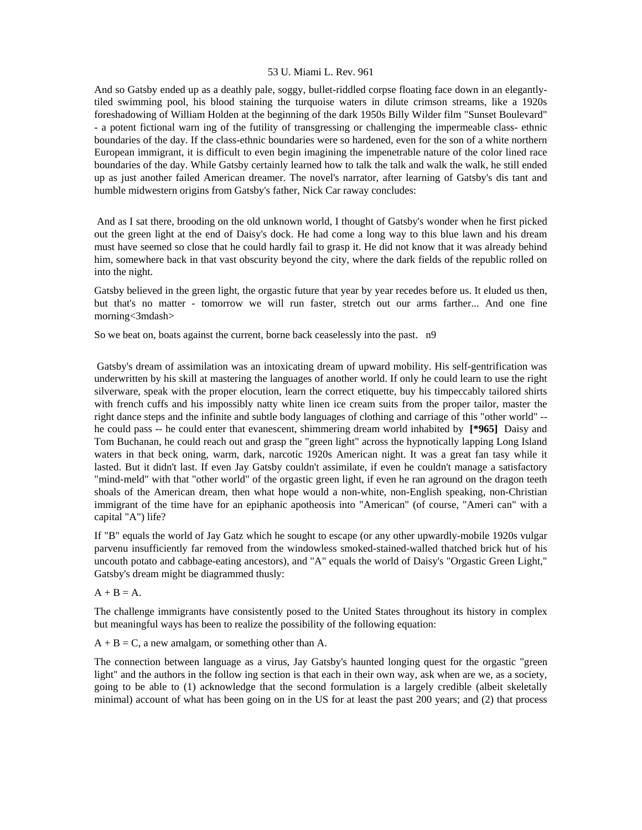And so Gatsby ended up as a deathly pale, soggy, bullet-riddled corpse floating face down in an elegantlytiled swimming pool, his blood staining the turquoise waters in dilute crimson streams, like a 1920s foreshadowing of William Holden at the beginning of the dark 1950s Billy Wilder film "Sunset Boulevard" - a potent fictional warn ing of the futility of transgressing or challenging the impermeable class- ethnic boundaries of the day. If the class-ethnic boundaries were so hardened, even for the son of a white northern European immigrant, it is difficult to even begin imagining the impenetrable nature of the color lined race boundaries of the day. While Gatsby certainly learned how to talk the talk and walk the walk, he still ended up as just another failed American dreamer. The novel's narrator, after learning of Gatsby's dis tant and humble midwestern origins from Gatsby's father, Nick Car raway concludes:

 And as I sat there, brooding on the old unknown world, I thought of Gatsby's wonder when he first picked out the green light at the end of Daisy's dock. He had come a long way to this blue lawn and his dream must have seemed so close that he could hardly fail to grasp it. He did not know that it was already behind him, somewhere back in that vast obscurity beyond the city, where the dark fields of the republic rolled on into the night.

Gatsby believed in the green light, the orgastic future that year by year recedes before us. It eluded us then, but that's no matter - tomorrow we will run faster, stretch out our arms farther... And one fine morning<3mdash>

So we beat on, boats against the current, borne back ceaselessly into the past. n9

 Gatsby's dream of assimilation was an intoxicating dream of upward mobility. His self-gentrification was underwritten by his skill at mastering the languages of another world. If only he could learn to use the right silverware, speak with the proper elocution, learn the correct etiquette, buy his timpeccably tailored shirts with french cuffs and his impossibly natty white linen ice cream suits from the proper tailor, master the right dance steps and the infinite and subtle body languages of clothing and carriage of this "other world" - he could pass -- he could enter that evanescent, shimmering dream world inhabited by **[\*965]** Daisy and Tom Buchanan, he could reach out and grasp the "green light" across the hypnotically lapping Long Island waters in that beck oning, warm, dark, narcotic 1920s American night. It was a great fan tasy while it lasted. But it didn't last. If even Jay Gatsby couldn't assimilate, if even he couldn't manage a satisfactory "mind-meld" with that "other world" of the orgastic green light, if even he ran aground on the dragon teeth shoals of the American dream, then what hope would a non-white, non-English speaking, non-Christian immigrant of the time have for an epiphanic apotheosis into "American" (of course, "Ameri can" with a capital "A") life?

If "B" equals the world of Jay Gatz which he sought to escape (or any other upwardly-mobile 1920s vulgar parvenu insufficiently far removed from the windowless smoked-stained-walled thatched brick hut of his uncouth potato and cabbage-eating ancestors), and "A" equals the world of Daisy's "Orgastic Green Light," Gatsby's dream might be diagrammed thusly:

#### $A + B = A$ .

The challenge immigrants have consistently posed to the United States throughout its history in complex but meaningful ways has been to realize the possibility of the following equation:

 $A + B = C$ , a new amalgam, or something other than A.

The connection between language as a virus, Jay Gatsby's haunted longing quest for the orgastic "green light" and the authors in the follow ing section is that each in their own way, ask when are we, as a society, going to be able to (1) acknowledge that the second formulation is a largely credible (albeit skeletally minimal) account of what has been going on in the US for at least the past 200 years; and (2) that process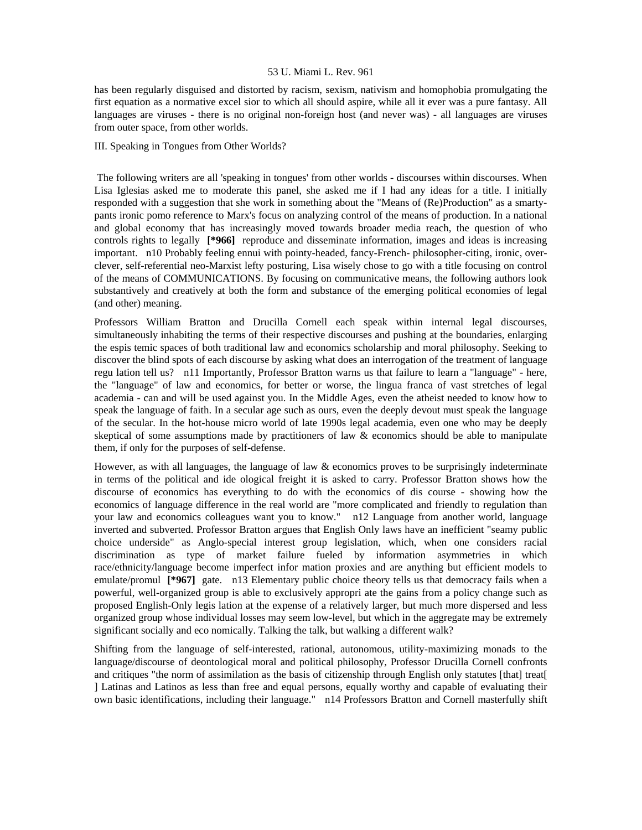has been regularly disguised and distorted by racism, sexism, nativism and homophobia promulgating the first equation as a normative excel sior to which all should aspire, while all it ever was a pure fantasy. All languages are viruses - there is no original non-foreign host (and never was) - all languages are viruses from outer space, from other worlds.

## III. Speaking in Tongues from Other Worlds?

 The following writers are all 'speaking in tongues' from other worlds - discourses within discourses. When Lisa Iglesias asked me to moderate this panel, she asked me if I had any ideas for a title. I initially responded with a suggestion that she work in something about the "Means of (Re)Production" as a smartypants ironic pomo reference to Marx's focus on analyzing control of the means of production. In a national and global economy that has increasingly moved towards broader media reach, the question of who controls rights to legally **[\*966]** reproduce and disseminate information, images and ideas is increasing important. n10 Probably feeling ennui with pointy-headed, fancy-French- philosopher-citing, ironic, overclever, self-referential neo-Marxist lefty posturing, Lisa wisely chose to go with a title focusing on control of the means of COMMUNICATIONS. By focusing on communicative means, the following authors look substantively and creatively at both the form and substance of the emerging political economies of legal (and other) meaning.

Professors William Bratton and Drucilla Cornell each speak within internal legal discourses, simultaneously inhabiting the terms of their respective discourses and pushing at the boundaries, enlarging the espis temic spaces of both traditional law and economics scholarship and moral philosophy. Seeking to discover the blind spots of each discourse by asking what does an interrogation of the treatment of language regu lation tell us? n11 Importantly, Professor Bratton warns us that failure to learn a "language" - here, the "language" of law and economics, for better or worse, the lingua franca of vast stretches of legal academia - can and will be used against you. In the Middle Ages, even the atheist needed to know how to speak the language of faith. In a secular age such as ours, even the deeply devout must speak the language of the secular. In the hot-house micro world of late 1990s legal academia, even one who may be deeply skeptical of some assumptions made by practitioners of law  $\&$  economics should be able to manipulate them, if only for the purposes of self-defense.

However, as with all languages, the language of law & economics proves to be surprisingly indeterminate in terms of the political and ide ological freight it is asked to carry. Professor Bratton shows how the discourse of economics has everything to do with the economics of dis course - showing how the economics of language difference in the real world are "more complicated and friendly to regulation than your law and economics colleagues want you to know." n12 Language from another world, language inverted and subverted. Professor Bratton argues that English Only laws have an inefficient "seamy public choice underside" as Anglo-special interest group legislation, which, when one considers racial discrimination as type of market failure fueled by information asymmetries in which race/ethnicity/language become imperfect infor mation proxies and are anything but efficient models to emulate/promul **[\*967]** gate. n13 Elementary public choice theory tells us that democracy fails when a powerful, well-organized group is able to exclusively appropri ate the gains from a policy change such as proposed English-Only legis lation at the expense of a relatively larger, but much more dispersed and less organized group whose individual losses may seem low-level, but which in the aggregate may be extremely significant socially and eco nomically. Talking the talk, but walking a different walk?

Shifting from the language of self-interested, rational, autonomous, utility-maximizing monads to the language/discourse of deontological moral and political philosophy, Professor Drucilla Cornell confronts and critiques "the norm of assimilation as the basis of citizenship through English only statutes [that] treat[ ] Latinas and Latinos as less than free and equal persons, equally worthy and capable of evaluating their own basic identifications, including their language." n14 Professors Bratton and Cornell masterfully shift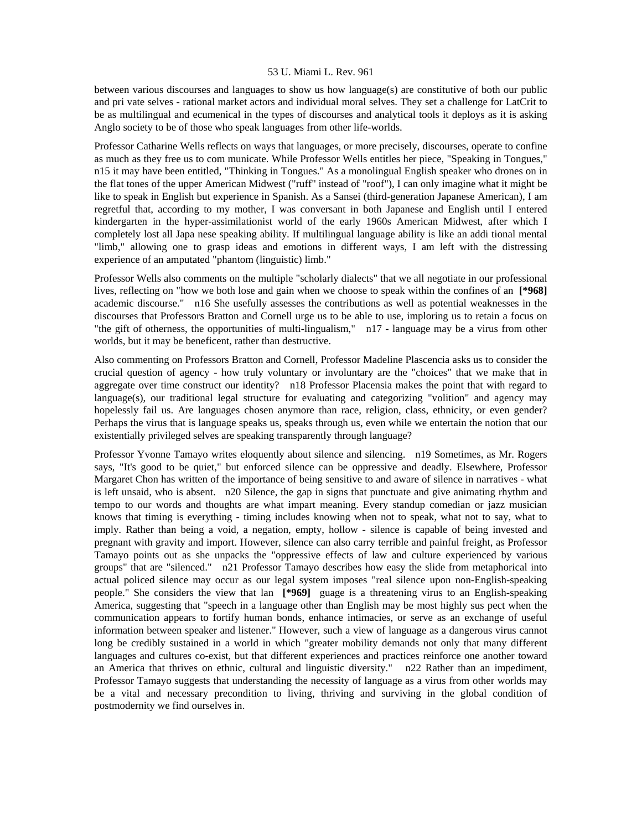between various discourses and languages to show us how language(s) are constitutive of both our public and pri vate selves - rational market actors and individual moral selves. They set a challenge for LatCrit to be as multilingual and ecumenical in the types of discourses and analytical tools it deploys as it is asking Anglo society to be of those who speak languages from other life-worlds.

Professor Catharine Wells reflects on ways that languages, or more precisely, discourses, operate to confine as much as they free us to com municate. While Professor Wells entitles her piece, "Speaking in Tongues," n15 it may have been entitled, "Thinking in Tongues." As a monolingual English speaker who drones on in the flat tones of the upper American Midwest ("ruff" instead of "roof"), I can only imagine what it might be like to speak in English but experience in Spanish. As a Sansei (third-generation Japanese American), I am regretful that, according to my mother, I was conversant in both Japanese and English until I entered kindergarten in the hyper-assimilationist world of the early 1960s American Midwest, after which I completely lost all Japa nese speaking ability. If multilingual language ability is like an addi tional mental "limb," allowing one to grasp ideas and emotions in different ways, I am left with the distressing experience of an amputated "phantom (linguistic) limb."

Professor Wells also comments on the multiple "scholarly dialects" that we all negotiate in our professional lives, reflecting on "how we both lose and gain when we choose to speak within the confines of an **[\*968]**  academic discourse." n16 She usefully assesses the contributions as well as potential weaknesses in the discourses that Professors Bratton and Cornell urge us to be able to use, imploring us to retain a focus on "the gift of otherness, the opportunities of multi-lingualism," n17 - language may be a virus from other worlds, but it may be beneficent, rather than destructive.

Also commenting on Professors Bratton and Cornell, Professor Madeline Plascencia asks us to consider the crucial question of agency - how truly voluntary or involuntary are the "choices" that we make that in aggregate over time construct our identity? n18 Professor Placensia makes the point that with regard to language(s), our traditional legal structure for evaluating and categorizing "volition" and agency may hopelessly fail us. Are languages chosen anymore than race, religion, class, ethnicity, or even gender? Perhaps the virus that is language speaks us, speaks through us, even while we entertain the notion that our existentially privileged selves are speaking transparently through language?

Professor Yvonne Tamayo writes eloquently about silence and silencing. n19 Sometimes, as Mr. Rogers says, "It's good to be quiet," but enforced silence can be oppressive and deadly. Elsewhere, Professor Margaret Chon has written of the importance of being sensitive to and aware of silence in narratives - what is left unsaid, who is absent. n20 Silence, the gap in signs that punctuate and give animating rhythm and tempo to our words and thoughts are what impart meaning. Every standup comedian or jazz musician knows that timing is everything - timing includes knowing when not to speak, what not to say, what to imply. Rather than being a void, a negation, empty, hollow - silence is capable of being invested and pregnant with gravity and import. However, silence can also carry terrible and painful freight, as Professor Tamayo points out as she unpacks the "oppressive effects of law and culture experienced by various groups" that are "silenced." n21 Professor Tamayo describes how easy the slide from metaphorical into actual policed silence may occur as our legal system imposes "real silence upon non-English-speaking people." She considers the view that lan **[\*969]** guage is a threatening virus to an English-speaking America, suggesting that "speech in a language other than English may be most highly sus pect when the communication appears to fortify human bonds, enhance intimacies, or serve as an exchange of useful information between speaker and listener." However, such a view of language as a dangerous virus cannot long be credibly sustained in a world in which "greater mobility demands not only that many different languages and cultures co-exist, but that different experiences and practices reinforce one another toward an America that thrives on ethnic, cultural and linguistic diversity." n22 Rather than an impediment, Professor Tamayo suggests that understanding the necessity of language as a virus from other worlds may be a vital and necessary precondition to living, thriving and surviving in the global condition of postmodernity we find ourselves in.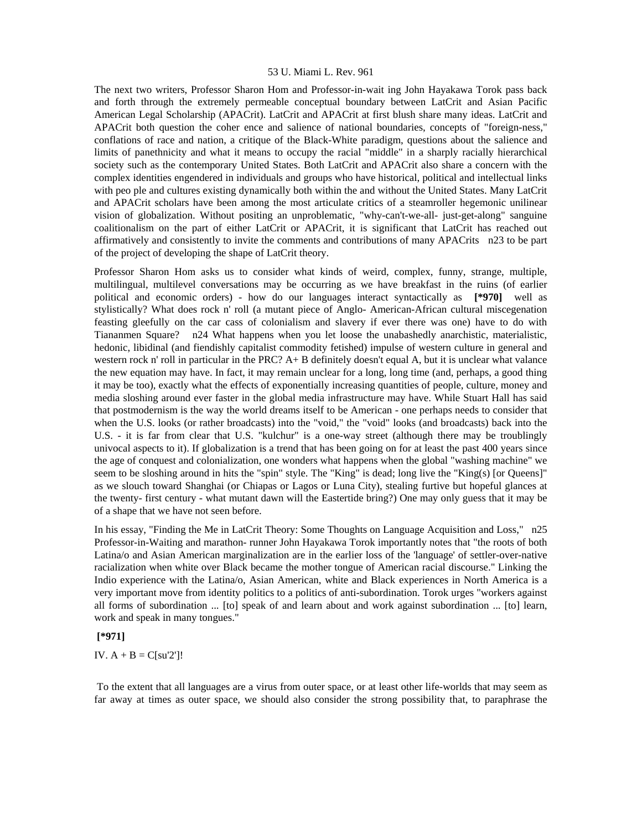The next two writers, Professor Sharon Hom and Professor-in-wait ing John Hayakawa Torok pass back and forth through the extremely permeable conceptual boundary between LatCrit and Asian Pacific American Legal Scholarship (APACrit). LatCrit and APACrit at first blush share many ideas. LatCrit and APACrit both question the coher ence and salience of national boundaries, concepts of "foreign-ness," conflations of race and nation, a critique of the Black-White paradigm, questions about the salience and limits of panethnicity and what it means to occupy the racial "middle" in a sharply racially hierarchical society such as the contemporary United States. Both LatCrit and APACrit also share a concern with the complex identities engendered in individuals and groups who have historical, political and intellectual links with peo ple and cultures existing dynamically both within the and without the United States. Many LatCrit and APACrit scholars have been among the most articulate critics of a steamroller hegemonic unilinear vision of globalization. Without positing an unproblematic, "why-can't-we-all- just-get-along" sanguine coalitionalism on the part of either LatCrit or APACrit, it is significant that LatCrit has reached out affirmatively and consistently to invite the comments and contributions of many APACrits n23 to be part of the project of developing the shape of LatCrit theory.

Professor Sharon Hom asks us to consider what kinds of weird, complex, funny, strange, multiple, multilingual, multilevel conversations may be occurring as we have breakfast in the ruins (of earlier political and economic orders) - how do our languages interact syntactically as **[\*970]** well as stylistically? What does rock n' roll (a mutant piece of Anglo- American-African cultural miscegenation feasting gleefully on the car cass of colonialism and slavery if ever there was one) have to do with Tiananmen Square? n24 What happens when you let loose the unabashedly anarchistic, materialistic, hedonic, libidinal (and fiendishly capitalist commodity fetished) impulse of western culture in general and western rock n' roll in particular in the PRC? A+ B definitely doesn't equal A, but it is unclear what valance the new equation may have. In fact, it may remain unclear for a long, long time (and, perhaps, a good thing it may be too), exactly what the effects of exponentially increasing quantities of people, culture, money and media sloshing around ever faster in the global media infrastructure may have. While Stuart Hall has said that postmodernism is the way the world dreams itself to be American - one perhaps needs to consider that when the U.S. looks (or rather broadcasts) into the "void," the "void" looks (and broadcasts) back into the U.S. - it is far from clear that U.S. "kulchur" is a one-way street (although there may be troublingly univocal aspects to it). If globalization is a trend that has been going on for at least the past 400 years since the age of conquest and colonialization, one wonders what happens when the global "washing machine" we seem to be sloshing around in hits the "spin" style. The "King" is dead; long live the "King(s) [or Queens]" as we slouch toward Shanghai (or Chiapas or Lagos or Luna City), stealing furtive but hopeful glances at the twenty- first century - what mutant dawn will the Eastertide bring?) One may only guess that it may be of a shape that we have not seen before.

In his essay, "Finding the Me in LatCrit Theory: Some Thoughts on Language Acquisition and Loss," n25 Professor-in-Waiting and marathon- runner John Hayakawa Torok importantly notes that "the roots of both Latina/o and Asian American marginalization are in the earlier loss of the 'language' of settler-over-native racialization when white over Black became the mother tongue of American racial discourse." Linking the Indio experience with the Latina/o, Asian American, white and Black experiences in North America is a very important move from identity politics to a politics of anti-subordination. Torok urges "workers against all forms of subordination ... [to] speak of and learn about and work against subordination ... [to] learn, work and speak in many tongues."

 **[\*971]** 

IV.  $A + B = C[su'2']!$ 

 To the extent that all languages are a virus from outer space, or at least other life-worlds that may seem as far away at times as outer space, we should also consider the strong possibility that, to paraphrase the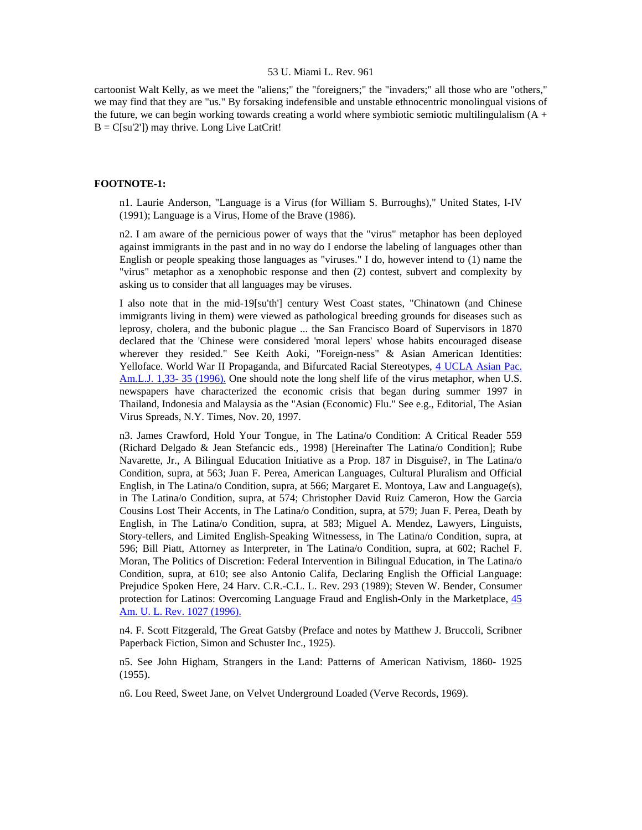cartoonist Walt Kelly, as we meet the "aliens;" the "foreigners;" the "invaders;" all those who are "others," we may find that they are "us." By forsaking indefensible and unstable ethnocentric monolingual visions of the future, we can begin working towards creating a world where symbiotic semiotic multilingulalism  $(A +$  $B = C[su'2']$  may thrive. Long Live LatCrit!

## **FOOTNOTE-1:**

n1. Laurie Anderson, "Language is a Virus (for William S. Burroughs)," United States, I-IV (1991); Language is a Virus, Home of the Brave (1986).

n2. I am aware of the pernicious power of ways that the "virus" metaphor has been deployed against immigrants in the past and in no way do I endorse the labeling of languages other than English or people speaking those languages as "viruses." I do, however intend to (1) name the "virus" metaphor as a xenophobic response and then (2) contest, subvert and complexity by asking us to consider that all languages may be viruses.

I also note that in the mid-19[su'th'] century West Coast states, "Chinatown (and Chinese immigrants living in them) were viewed as pathological breeding grounds for diseases such as leprosy, cholera, and the bubonic plague ... the San Francisco Board of Supervisors in 1870 declared that the 'Chinese were considered 'moral lepers' whose habits encouraged disease wherever they resided." See Keith Aoki, "Foreign-ness" & Asian American Identities: Yelloface. World War II Propaganda, and Bifurcated Racial Stereotypes, [4 UCLA Asian Pac.](http://www.lexis.com/research/xlink?searchtype=get&search=4%20UCLA%20Asian%20Pac.%20Am.%20L.J.%20133)  [Am.L.J. 1,33- 35 \(1996\).](http://www.lexis.com/research/xlink?searchtype=get&search=4%20UCLA%20Asian%20Pac.%20Am.%20L.J.%20133) One should note the long shelf life of the virus metaphor, when U.S. newspapers have characterized the economic crisis that began during summer 1997 in Thailand, Indonesia and Malaysia as the "Asian (Economic) Flu." See e.g., Editorial, The Asian Virus Spreads, N.Y. Times, Nov. 20, 1997.

n3. James Crawford, Hold Your Tongue, in The Latina/o Condition: A Critical Reader 559 (Richard Delgado & Jean Stefancic eds., 1998) [Hereinafter The Latina/o Condition]; Rube Navarette, Jr., A Bilingual Education Initiative as a Prop. 187 in Disguise?, in The Latina/o Condition, supra, at 563; Juan F. Perea, American Languages, Cultural Pluralism and Official English, in The Latina/o Condition, supra, at 566; Margaret E. Montoya, Law and Language(s), in The Latina/o Condition, supra, at 574; Christopher David Ruiz Cameron, How the Garcia Cousins Lost Their Accents, in The Latina/o Condition, supra, at 579; Juan F. Perea, Death by English, in The Latina/o Condition, supra, at 583; Miguel A. Mendez, Lawyers, Linguists, Story-tellers, and Limited English-Speaking Witnessess, in The Latina/o Condition, supra, at 596; Bill Piatt, Attorney as Interpreter, in The Latina/o Condition, supra, at 602; Rachel F. Moran, The Politics of Discretion: Federal Intervention in Bilingual Education, in The Latina/o Condition, supra, at 610; see also Antonio Califa, Declaring English the Official Language: Prejudice Spoken Here, 24 Harv. C.R.-C.L. L. Rev. 293 (1989); Steven W. Bender, Consumer protection for Latinos: Overcoming Language Fraud and English-Only in the Marketplace, [45](http://www.lexis.com/research/xlink?searchtype=get&search=45%20Am.%20U.L.%20Rev.%201027)  [Am. U. L. Rev. 1027 \(1996\).](http://www.lexis.com/research/xlink?searchtype=get&search=45%20Am.%20U.L.%20Rev.%201027)

n4. F. Scott Fitzgerald, The Great Gatsby (Preface and notes by Matthew J. Bruccoli, Scribner Paperback Fiction, Simon and Schuster Inc., 1925).

n5. See John Higham, Strangers in the Land: Patterns of American Nativism, 1860- 1925 (1955).

n6. Lou Reed, Sweet Jane, on Velvet Underground Loaded (Verve Records, 1969).